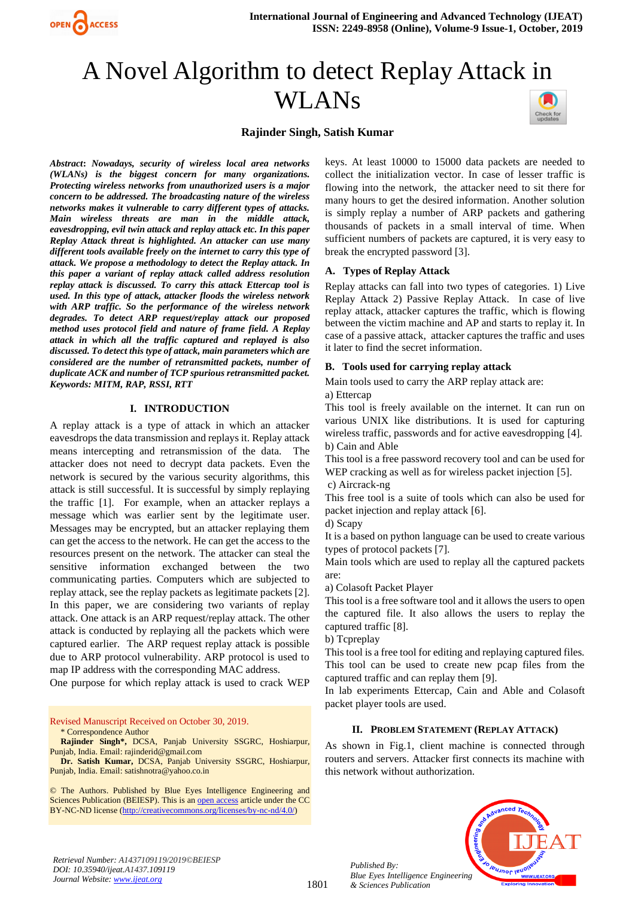

# A Novel Algorithm to detect Replay Attack in WLANs



# **Rajinder Singh, Satish Kumar**

*Abstract***:** *Nowadays, security of wireless local area networks (WLANs) is the biggest concern for many organizations. Protecting wireless networks from unauthorized users is a major concern to be addressed. The broadcasting nature of the wireless networks makes it vulnerable to carry different types of attacks. Main wireless threats are man in the middle attack, eavesdropping, evil twin attack and replay attack etc. In this paper Replay Attack threat is highlighted. An attacker can use many different tools available freely on the internet to carry this type of attack. We propose a methodology to detect the Replay attack. In this paper a variant of replay attack called address resolution replay attack is discussed. To carry this attack Ettercap tool is used. In this type of attack, attacker floods the wireless network with ARP traffic. So the performance of the wireless network degrades. To detect ARP request/replay attack our proposed method uses protocol field and nature of frame field. A Replay attack in which all the traffic captured and replayed is also discussed. To detect this type of attack, main parameters which are considered are the number of retransmitted packets, number of duplicate ACK and number of TCP spurious retransmitted packet. Keywords: MITM, RAP, RSSI, RTT*

# **I. INTRODUCTION**

A replay attack is a type of attack in which an attacker eavesdrops the data transmission and replays it. Replay attack means intercepting and retransmission of the data. The attacker does not need to decrypt data packets. Even the network is secured by the various security algorithms, this attack is still successful. It is successful by simply replaying the traffic [1]. For example, when an attacker replays a message which was earlier sent by the legitimate user. Messages may be encrypted, but an attacker replaying them can get the access to the network. He can get the access to the resources present on the network. The attacker can steal the sensitive information exchanged between the two communicating parties. Computers which are subjected to replay attack, see the replay packets as legitimate packets [2]. In this paper, we are considering two variants of replay attack. One attack is an ARP request/replay attack. The other attack is conducted by replaying all the packets which were captured earlier. The ARP request replay attack is possible due to ARP protocol vulnerability. ARP protocol is used to map IP address with the corresponding MAC address.

One purpose for which replay attack is used to crack WEP

Revised Manuscript Received on October 30, 2019.

\* Correspondence Author

**Rajinder Singh\*,** DCSA, Panjab University SSGRC, Hoshiarpur, Punjab, India. Email: rajinderid@gmail.com

**Dr. Satish Kumar,** DCSA, Panjab University SSGRC, Hoshiarpur, Punjab, India. Email: satishnotra@yahoo.co.in

© The Authors. Published by Blue Eyes Intelligence Engineering and Sciences Publication (BEIESP). This is a[n open access](https://www.openaccess.nl/en/open-publications) article under the CC BY-NC-ND license [\(http://creativecommons.org/licenses/by-nc-nd/4.0/\)](http://creativecommons.org/licenses/by-nc-nd/4.0/)

keys. At least 10000 to 15000 data packets are needed to collect the initialization vector. In case of lesser traffic is flowing into the network, the attacker need to sit there for many hours to get the desired information. Another solution is simply replay a number of ARP packets and gathering thousands of packets in a small interval of time. When sufficient numbers of packets are captured, it is very easy to break the encrypted password [3].

## **A. Types of Replay Attack**

Replay attacks can fall into two types of categories. 1) Live Replay Attack 2) Passive Replay Attack. In case of live replay attack, attacker captures the traffic, which is flowing between the victim machine and AP and starts to replay it. In case of a passive attack, attacker captures the traffic and uses it later to find the secret information.

## **B. Tools used for carrying replay attack**

Main tools used to carry the ARP replay attack are: a) Ettercap

This tool is freely available on the internet. It can run on various UNIX like distributions. It is used for capturing wireless traffic, passwords and for active eavesdropping [4]. b) Cain and Able

This tool is a free password recovery tool and can be used for WEP cracking as well as for wireless packet injection [5].

c) Aircrack-ng

This free tool is a suite of tools which can also be used for packet injection and replay attack [6].

d) Scapy

It is a based on python language can be used to create various types of protocol packets [7].

Main tools which are used to replay all the captured packets are:

a) Colasoft Packet Player

This tool is a free software tool and it allows the users to open the captured file. It also allows the users to replay the captured traffic [8].

b) Tcpreplay

This tool is a free tool for editing and replaying captured files. This tool can be used to create new pcap files from the captured traffic and can replay them [9].

In lab experiments Ettercap, Cain and Able and Colasoft packet player tools are used.

# **II. PROBLEM STATEMENT (REPLAY ATTACK)**

As shown in Fig.1, client machine is connected through routers and servers. Attacker first connects its machine with this network without authorization.



*Retrieval Number: A1437109119/2019©BEIESP DOI: 10.35940/ijeat.A1437.109119 Journal Website[: www.ijeat.org](http://www.ijeat.org/)*

*Published By:*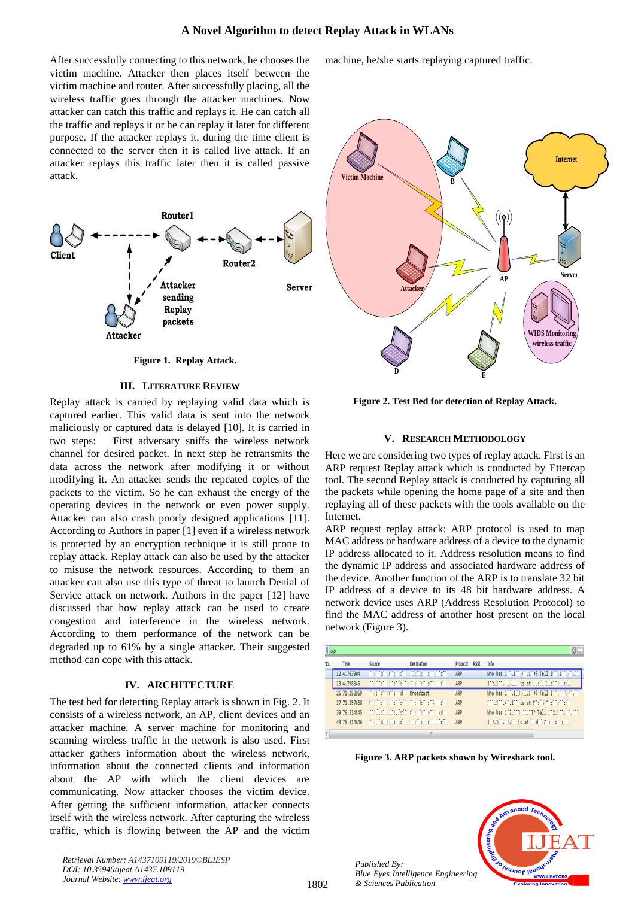After successfully connecting to this network, he chooses the victim machine. Attacker then places itself between the victim machine and router. After successfully placing, all the wireless traffic goes through the attacker machines. Now attacker can catch this traffic and replays it. He can catch all the traffic and replays it or he can replay it later for different purpose. If the attacker replays it, during the time client is connected to the server then it is called live attack. If an attacker replays this traffic later then it is called passive attack.



**Figure 1. Replay Attack.**

#### **III. LITERATURE REVIEW**

Replay attack is carried by replaying valid data which is captured earlier. This valid data is sent into the network maliciously or captured data is delayed [10]. It is carried in two steps: First adversary sniffs the wireless network channel for desired packet. In next step he retransmits the data across the network after modifying it or without modifying it. An attacker sends the repeated copies of the packets to the victim. So he can exhaust the energy of the operating devices in the network or even power supply. Attacker can also crash poorly designed applications [11]. According to Authors in paper [1] even if a wireless network is protected by an encryption technique it is still prone to replay attack. Replay attack can also be used by the attacker to misuse the network resources. According to them an attacker can also use this type of threat to launch Denial of Service attack on network. Authors in the paper [12] have discussed that how replay attack can be used to create congestion and interference in the wireless network. According to them performance of the network can be degraded up to 61% by a single attacker. Their suggested method can cope with this attack.

# **IV. ARCHITECTURE**

The test bed for detecting Replay attack is shown in Fig. 2. It consists of a wireless network, an AP, client devices and an attacker machine. A server machine for monitoring and scanning wireless traffic in the network is also used. First attacker gathers information about the wireless network, information about the connected clients and information about the AP with which the client devices are communicating. Now attacker chooses the victim device. After getting the sufficient information, attacker connects itself with the wireless network. After capturing the wireless traffic, which is flowing between the AP and the victim

*Retrieval Number: A1437109119/2019©BEIESP DOI: 10.35940/ijeat.A1437.109119 Journal Website[: www.ijeat.org](http://www.ijeat.org/)*

machine, he/she starts replaying captured traffic.



**Figure 2. Test Bed for detection of Replay Attack.**

## **V. RESEARCH METHODOLOGY**

Here we are considering two types of replay attack. First is an ARP request Replay attack which is conducted by Ettercap tool. The second Replay attack is conducted by capturing all the packets while opening the home page of a site and then replaying all of these packets with the tools available on the Internet.

ARP request replay attack: ARP protocol is used to map MAC address or hardware address of a device to the dynamic IP address allocated to it. Address resolution means to find the dynamic IP address and associated hardware address of the device. Another function of the ARP is to translate 32 bit IP address of a device to its 48 bit hardware address. A network device uses ARP (Address Resolution Protocol) to find the MAC address of another host present on the local network (Figure 3).

| arp |              |                                                              |                                          |          |             |                                             |
|-----|--------------|--------------------------------------------------------------|------------------------------------------|----------|-------------|---------------------------------------------|
| No. | Time         | Source                                                       | Destination                              | Protocol | <b>RSST</b> | Info                                        |
|     | 12 4.793904  |                                                              | The late of temples stile from antendent | ARP      |             | Who has 100.100.40.100? Tell 100.100.000.00 |
|     | 13 4.798345  | interfective the first method methods                        |                                          | ARP      |             | 112.117.11.121 is at individualized:        |
|     | 26 71.252969 | Chief information Broadcast                                  |                                          | ARP      |             | Who has 173.173.47.173? Tell 100.173.40.07  |
|     | 27 71.257668 | interfection feeling and let entered                         |                                          | ARD      |             | consumidation is at mediate concident.      |
|     |              | 39-76.314545 (Carlista Situation Carl 1:0 aCC and            |                                          | ARD      |             | Who has 172.000.01.03? Tell 102.000.00.000  |
|     |              | 40-76.314646 Preinisficationalis of telligibilities the file |                                          | ARD      |             | 110.101.00.00 is at includebactionality     |
|     |              |                                                              |                                          |          |             |                                             |

**Figure 3. ARP packets shown by Wireshark tool.**

*Published By: Blue Eyes Intelligence Engineering & Sciences Publication* 

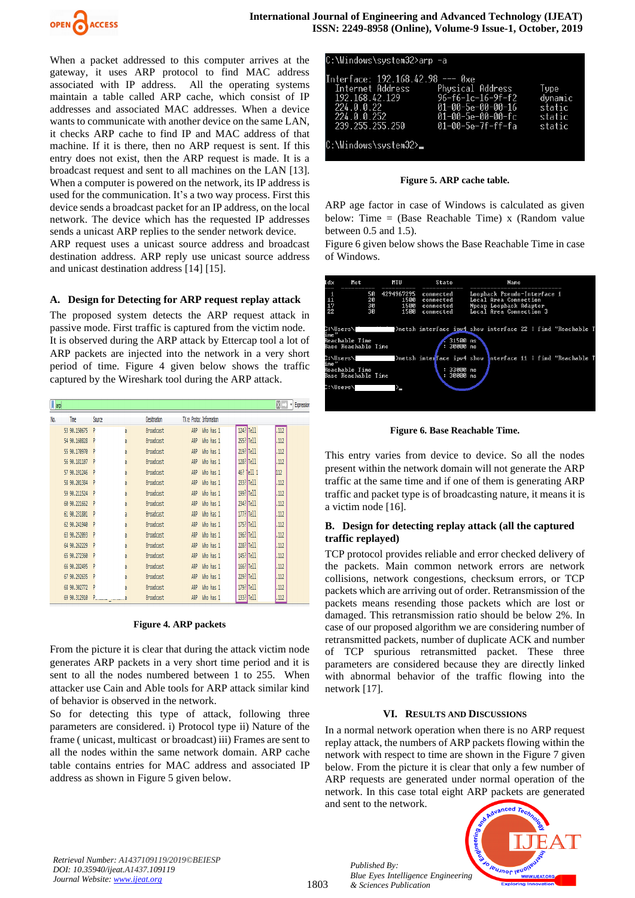

When a packet addressed to this computer arrives at the gateway, it uses ARP protocol to find MAC address associated with IP address. All the operating systems maintain a table called ARP cache, which consist of IP addresses and associated MAC addresses. When a device wants to communicate with another device on the same LAN, it checks ARP cache to find IP and MAC address of that machine. If it is there, then no ARP request is sent. If this entry does not exist, then the ARP request is made. It is a broadcast request and sent to all machines on the LAN [13]. When a computer is powered on the network, its IP address is used for the communication. It's a two way process. First this device sends a broadcast packet for an IP address, on the local network. The device which has the requested IP addresses sends a unicast ARP replies to the sender network device.

ARP request uses a unicast source address and broadcast destination address. ARP reply use unicast source address and unicast destination address [14] [15].

## **A. Design for Detecting for ARP request replay attack**

The proposed system detects the ARP request attack in passive mode. First traffic is captured from the victim node. It is observed during the ARP attack by Ettercap tool a lot of ARP packets are injected into the network in a very short period of time. Figure 4 given below shows the traffic captured by the Wireshark tool during the ARP attack.

| $\sqrt{ap}$ |               |        |   |              |     |                          |     |           | $x \rightarrow$ | v Expression |
|-------------|---------------|--------|---|--------------|-----|--------------------------|-----|-----------|-----------------|--------------|
| No.         | Tme           | Source |   | Desitination |     | TX ra Protoc Information |     |           |                 |              |
|             | 53 90.150675  |        | a | Broadcast    | ARP | Who has 1                |     | 124? Tell | .112            |              |
|             | 54 90.160828  |        | a | Broadcast    | ARP | Who has 1                |     | 255? Tell | ,112            |              |
|             | 55 90.170970  |        | a | Broadcast    | ARP | Who has 1                |     | 219? Tell | ,112            |              |
|             | 56 90.181107  |        | a | Broadcast    | ARP | Who has 1                |     | 128? Tell | ,112            |              |
|             | 57 90.191246  |        | a | Broadcast    | ARP | Who has 1                | 46? | tell 1    | 112             |              |
|             | 58 90.201384  |        | a | Broadcast    | ARP | Who has 1                |     | 233? Tell | .112            |              |
|             | 59 90.211524  | D      | a | Broadcast    | ARP | Who has 1                |     | 199? Tell | .112            |              |
|             | 60 90.221662  |        | a | Broadcast    | ARP | Who has 1                |     | 234? Tell | .112            |              |
|             | 61 90.231801  |        | a | Broadcast    | ARP | Who has 1                |     | 177? Tell | .112            |              |
|             | 62 90.241940  |        | a | Broadcast    | ARP | Who has 1                |     | 175? Tell | .112            |              |
|             | 63 90.252093  |        | a | Broadcast    | ARP | Who has 1                |     | 196? Tell | ,112            |              |
|             | 64 90.262229  |        | a | Broadcast    | ARP | Who has 1                |     | 228? Tell | ,112            |              |
|             | 65 90, 272360 |        | a | Broadcast    | ARP | Who has 1                |     | 145? Tell | .112            |              |
|             | 66 90.282495  |        | a | Broadcast    | ARP | Who has 1                |     | 166? Tell | .112            |              |
|             | 67 90.292635  |        | a | Broadcast    | ARP | Who has 1                |     | 229? Tell | .112            |              |
|             | 68 90.302772  | p      | a | Broadcast    | ARP | Who has 1                |     | 179? Tell | ,112            |              |
|             | 69 90.312910  |        |   | Broadcast    | ARP | Who has 1                |     | 133? Tell | .112            |              |

#### **Figure 4. ARP packets**

From the picture it is clear that during the attack victim node generates ARP packets in a very short time period and it is sent to all the nodes numbered between 1 to 255. When attacker use Cain and Able tools for ARP attack similar kind of behavior is observed in the network.

So for detecting this type of attack, following three parameters are considered. i) Protocol type ii) Nature of the frame ( unicast, multicast or broadcast) iii) Frames are sent to all the nodes within the same network domain. ARP cache table contains entries for MAC address and associated IP address as shown in Figure 5 given below.

| C:\Windows\svstem32>arp −a                                                                                             |                                                                                                                  |                                               |
|------------------------------------------------------------------------------------------------------------------------|------------------------------------------------------------------------------------------------------------------|-----------------------------------------------|
| Interface: 192.168.42.98 --- 0xe<br>Internet Address<br>192.168.42.129<br>224.0.0.22<br>224.0.0.252<br>239.255.255.250 | Physical Address<br>$96 - f6 - 1c - 16 - 9f - f2$<br>01-00-5e-00-00-16<br>01-00-5e-00-00-fc<br>01-00-5e-7f-ff-fa | Type<br>dvnamic<br>static<br>static<br>static |
| C:\Windows\svstem32>_                                                                                                  |                                                                                                                  |                                               |

**Figure 5. ARP cache table.**

ARP age factor in case of Windows is calculated as given below: Time  $=$  (Base Reachable Time) x (Random value between 0.5 and 1.5).

Figure 6 given below shows the Base Reachable Time in case of Windows.



**Figure 6. Base Reachable Time.**

This entry varies from device to device. So all the nodes present within the network domain will not generate the ARP traffic at the same time and if one of them is generating ARP traffic and packet type is of broadcasting nature, it means it is a victim node [16].

# **B. Design for detecting replay attack (all the captured traffic replayed)**

TCP protocol provides reliable and error checked delivery of the packets. Main common network errors are network collisions, network congestions, checksum errors, or TCP packets which are arriving out of order. Retransmission of the packets means resending those packets which are lost or damaged. This retransmission ratio should be below 2%. In case of our proposed algorithm we are considering number of retransmitted packets, number of duplicate ACK and number of TCP spurious retransmitted packet. These three parameters are considered because they are directly linked with abnormal behavior of the traffic flowing into the network [17].

# **VI. RESULTS AND DISCUSSIONS**

In a normal network operation when there is no ARP request replay attack, the numbers of ARP packets flowing within the network with respect to time are shown in the Figure 7 given below. From the picture it is clear that only a few number of ARP requests are generated under normal operation of the network. In this case total eight ARP packets are generated and sent to the network.



*Retrieval Number: A1437109119/2019©BEIESP DOI: 10.35940/ijeat.A1437.109119 Journal Website[: www.ijeat.org](http://www.ijeat.org/)*

1803

*Published By: Blue Eyes Intelligence Engineering & Sciences Publication*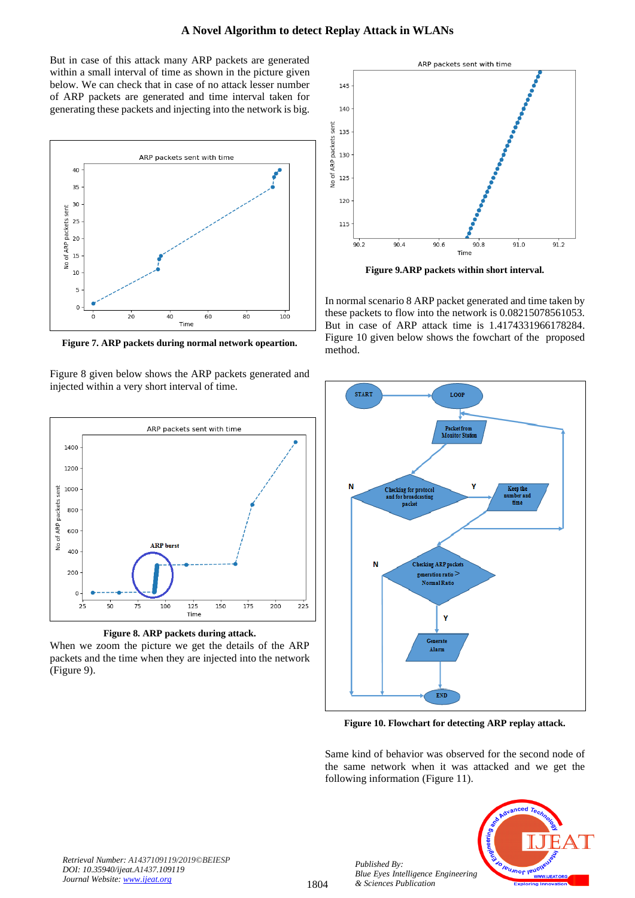But in case of this attack many ARP packets are generated within a small interval of time as shown in the picture given below. We can check that in case of no attack lesser number of ARP packets are generated and time interval taken for generating these packets and injecting into the network is big.



**Figure 7. ARP packets during normal network opeartion.**

Figure 8 given below shows the ARP packets generated and injected within a very short interval of time.





When we zoom the picture we get the details of the ARP packets and the time when they are injected into the network (Figure 9).



**Figure 9.ARP packets within short interval.**

In normal scenario 8 ARP packet generated and time taken by these packets to flow into the network is 0.08215078561053. But in case of ARP attack time is 1.4174331966178284. Figure 10 given below shows the fowchart of the proposed method.



**Figure 10. Flowchart for detecting ARP replay attack.**

Same kind of behavior was observed for the second node of the same network when it was attacked and we get the following information (Figure 11).



*Retrieval Number: A1437109119/2019©BEIESP DOI: 10.35940/ijeat.A1437.109119 Journal Website[: www.ijeat.org](http://www.ijeat.org/)*

*Published By:*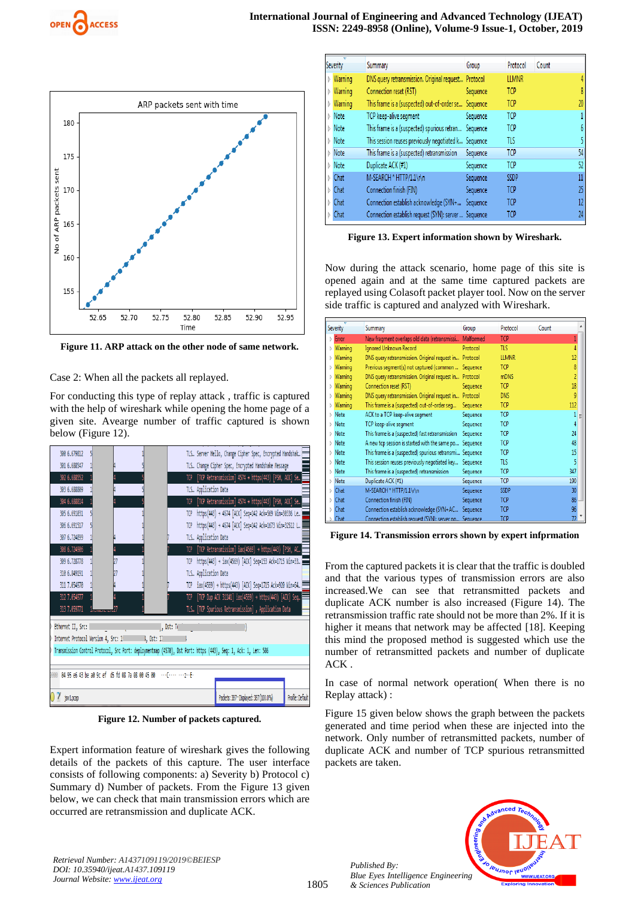



**Figure 11. ARP attack on the other node of same network.**

Case 2: When all the packets all replayed.

For conducting this type of replay attack , traffic is captured with the help of wireshark while opening the home page of a given site. Avearge number of traffic captured is shown below (Figure 12).



**Figure 12. Number of packets captured.**

Expert information feature of wireshark gives the following details of the packets of this capture. The user interface consists of following components: a) Severity b) Protocol c) Summary d) Number of packets. From the Figure 13 given below, we can check that main transmission errors which are occurred are retransmission and duplicate ACK.

| Severity | Summary                                              | Group    | Protocol     | Count |    |
|----------|------------------------------------------------------|----------|--------------|-------|----|
| Warning  | DNS query retransmission. Original request Protocol  |          | <b>LLMNR</b> |       |    |
| Warning  | Connection reset (RST)                               | Sequence | <b>TCP</b>   |       |    |
| Warning  | This frame is a (suspected) out-of-order se Sequence |          | TCP          |       | 20 |
| Note     | TCP keep-alive seqment                               | Sequence | <b>TCP</b>   |       |    |
| Note     | This frame is a (suspected) spurious retran Sequence |          | TCP          |       |    |
| Note     | This session reuses previously negotiated k Sequence |          | TLS          |       |    |
| Note     | This frame is a (suspected) retransmission           | Sequence | <b>TCP</b>   |       | 54 |
| Note     | Duplicate ACK (#1)                                   | Sequence | <b>TCP</b>   |       | 52 |
| Chat     | M-SEARCH * HTTP/1.1\r\n                              | Sequence | SSDP         |       | 11 |
| Chat     | Connection finish (FIN)                              | Sequence | <b>TCP</b>   |       | 25 |
| Chat     | Connection establish acknowledge (SYN+               | Sequence | <b>TCP</b>   |       | 12 |
| Chat     | Connection establish request (SYN): server  Sequence |          | TCP          |       | 24 |
|          |                                                      |          |              |       |    |

**Figure 13. Expert information shown by Wireshark.**

Now during the attack scenario, home page of this site is opened again and at the same time captured packets are replayed using Colasoft packet player tool. Now on the server side traffic is captured and analyzed with Wireshark.

| Severity      | Summary                                                 | Group     | Protocol     | Count |     |
|---------------|---------------------------------------------------------|-----------|--------------|-------|-----|
| Error<br>N    | New fragment overlaps old data (retransmissi            | Malformed | <b>TCP</b>   |       |     |
| Warning<br>D. | Ignored Unknown Record                                  | Protocol  | TLS          |       |     |
| Warning<br>D  | DNS query retransmission. Original request in Protocol  |           | <b>LLMNR</b> |       | 12  |
| Warning<br>Ŋ  | Previous segment(s) not captured (common  Sequence      |           | <b>TCP</b>   |       | 8   |
| Warning<br>Ď  | DNS query retransmission. Original request in Protocol  |           | mDNS         |       | 2   |
| Warning<br>D  | Connection reset (RST)                                  | Sequence  | TCP          |       | 18  |
| Warning<br>Ŋ  | DNS query retransmission. Original request in           | Protocol  | <b>DNS</b>   |       | 9   |
| Warning<br>Ŋ  | This frame is a (suspected) out-of-order seq            | Sequence  | <b>TCP</b>   |       | 112 |
| Note<br>b.    | ACK to a TCP keep-alive segment                         | Sequence  | TCP          |       |     |
| Note<br>D.    | TCP keep-alive segment                                  | Sequence  | TCP          |       |     |
| Note<br>Ď.    | This frame is a (suspected) fast retransmission         | Sequence  | <b>TCP</b>   |       | 24  |
| Note<br>I.    | A new tcp session is started with the same po Sequence  |           | TCP          |       | 48  |
| Mote          | This frame is a (suspected) spurious retransmi Sequence |           | TCP          |       | 15  |
| Note<br>Ď.    | This session reuses previously negotiated key Sequence  |           | TLS          |       | 5   |
| Note<br>Ď     | This frame is a (suspected) retransmission              | Sequence  | TCP          |       | 347 |
| Note<br>Ŋ     | Duplicate ACK (#1)                                      | Sequence  | TCP          |       | 190 |
| Chat<br>D.    | M-SEARCH * HTTP/1.1\r\n                                 | Sequence  | <b>SSDP</b>  |       | 30  |
| Chat<br>Ď     | Connection finish (FIN)                                 | Sequence  | <b>TCP</b>   |       | 86  |
| Chat<br>Ď     | Connection establish acknowledge (SYN+AC                | Sequence  | TCP          |       | 96  |
| Chat          | Connection establish request (SYN): server no Sequence. |           | TCP          |       |     |

**Figure 14. Transmission errors shown by expert infprmation** 

From the captured packets it is clear that the traffic is doubled and that the various types of transmission errors are also increased.We can see that retransmitted packets and duplicate ACK number is also increased (Figure 14). The retransmission traffic rate should not be more than 2%. If it is higher it means that network may be affected [18]. Keeping this mind the proposed method is suggested which use the number of retransmitted packets and number of duplicate ACK .

In case of normal network operation( When there is no Replay attack) :

Figure 15 given below shows the graph between the packets generated and time period when these are injected into the network. Only number of retransmitted packets, number of duplicate ACK and number of TCP spurious retransmitted packets are taken.



*Retrieval Number: A1437109119/2019©BEIESP DOI: 10.35940/ijeat.A1437.109119 Journal Website[: www.ijeat.org](http://www.ijeat.org/)*

*Published By:*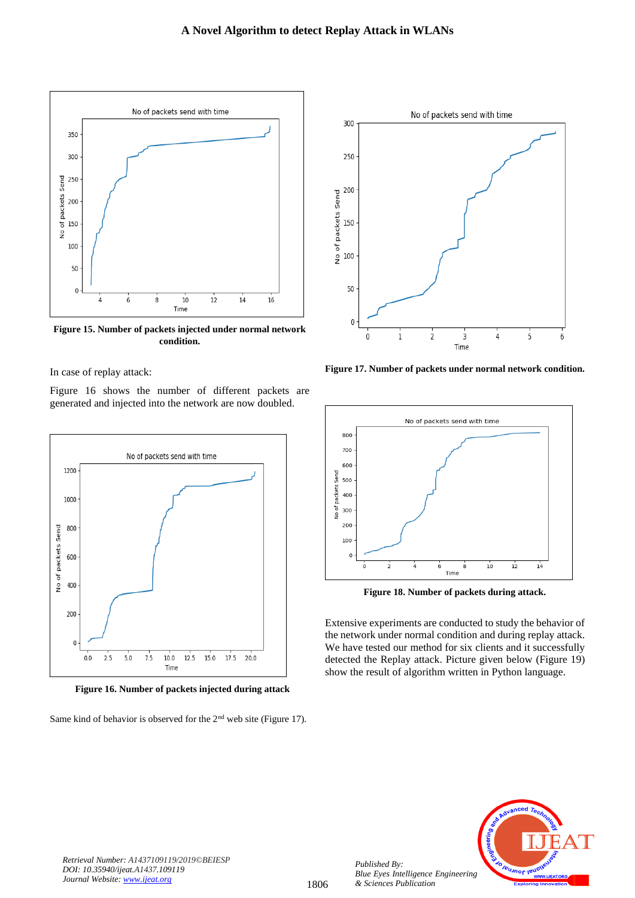

**Figure 15. Number of packets injected under normal network condition.**

In case of replay attack:

Figure 16 shows the number of different packets are generated and injected into the network are now doubled.



 **Figure 16. Number of packets injected during attack**

Same kind of behavior is observed for the 2<sup>nd</sup> web site (Figure 17).



**Figure 17. Number of packets under normal network condition.**



**Figure 18. Number of packets during attack.**

Extensive experiments are conducted to study the behavior of the network under normal condition and during replay attack. We have tested our method for six clients and it successfully detected the Replay attack. Picture given below (Figure 19) show the result of algorithm written in Python language.



*Retrieval Number: A1437109119/2019©BEIESP DOI: 10.35940/ijeat.A1437.109119 Journal Website[: www.ijeat.org](http://www.ijeat.org/)*

*Published By:*